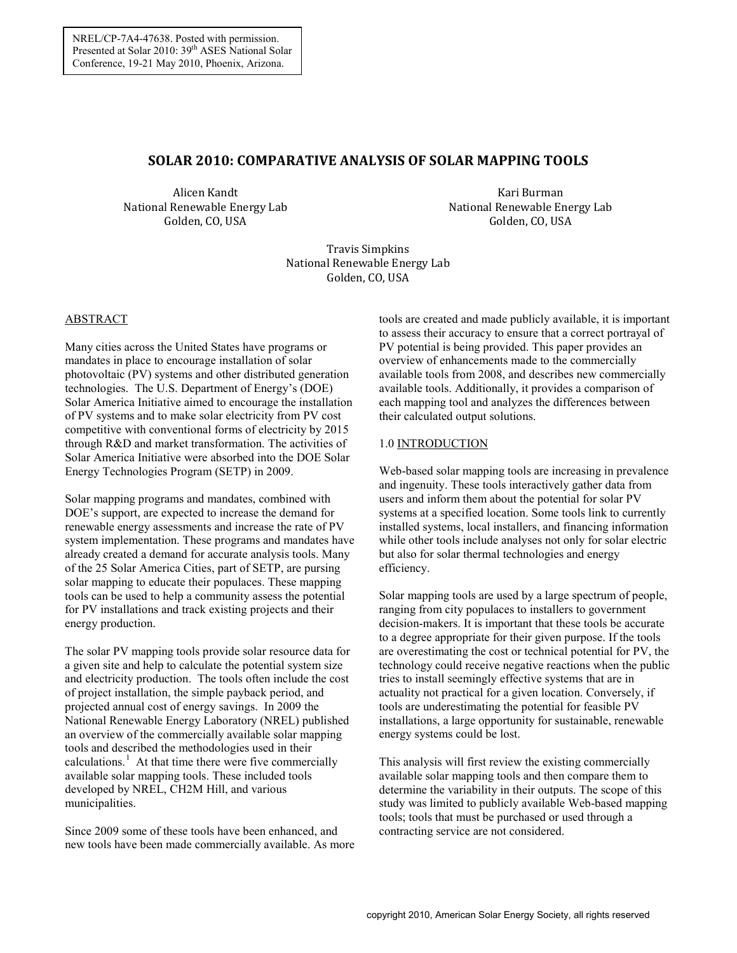# **SOLAR 2010: COMPARATIVE ANALYSIS OF SOLAR MAPPING TOOLS**

Alicen Kandt National Renewable Energy Lab Golden, CO, USA

Kari Burman National Renewable Energy Lab Golden, CO, USA

Travis Simpkins National Renewable Energy Lab Golden, CO, USA

### ABSTRACT

Many cities across the United States have programs or mandates in place to encourage installation of solar photovoltaic (PV) systems and other distributed generation technologies. The U.S. Department of Energy's (DOE) Solar America Initiative aimed to encourage the installation of PV systems and to make solar electricity from PV cost competitive with conventional forms of electricity by 2015 through R&D and market transformation. The activities of Solar America Initiative were absorbed into the DOE Solar Energy Technologies Program (SETP) in 2009.

Solar mapping programs and mandates, combined with DOE's support, are expected to increase the demand for renewable energy assessments and increase the rate of PV system implementation. These programs and mandates have already created a demand for accurate analysis tools. Many of the 25 Solar America Cities, part of SETP, are pursing solar mapping to educate their populaces. These mapping tools can be used to help a community assess the potential for PV installations and track existing projects and their energy production.

The solar PV mapping tools provide solar resource data for a given site and help to calculate the potential system size and electricity production. The tools often include the cost of project installation, the simple payback period, and projected annual cost of energy savings. In 2009 the National Renewable Energy Laboratory (NREL) published an overview of the commercially available solar mapping tools and described the methodologies used in their calculations.<sup>[1](#page-7-0)</sup> At that time there were five commercially available solar mapping tools. These included tools developed by NREL, CH2M Hill, and various municipalities.

Since 2009 some of these tools have been enhanced, and new tools have been made commercially available. As more tools are created and made publicly available, it is important to assess their accuracy to ensure that a correct portrayal of PV potential is being provided. This paper provides an overview of enhancements made to the commercially available tools from 2008, and describes new commercially available tools. Additionally, it provides a comparison of each mapping tool and analyzes the differences between their calculated output solutions.

# 1.0 INTRODUCTION

Web-based solar mapping tools are increasing in prevalence and ingenuity. These tools interactively gather data from users and inform them about the potential for solar PV systems at a specified location. Some tools link to currently installed systems, local installers, and financing information while other tools include analyses not only for solar electric but also for solar thermal technologies and energy efficiency.

Solar mapping tools are used by a large spectrum of people, ranging from city populaces to installers to government decision-makers. It is important that these tools be accurate to a degree appropriate for their given purpose. If the tools are overestimating the cost or technical potential for PV, the technology could receive negative reactions when the public tries to install seemingly effective systems that are in actuality not practical for a given location. Conversely, if tools are underestimating the potential for feasible PV installations, a large opportunity for sustainable, renewable energy systems could be lost.

This analysis will first review the existing commercially available solar mapping tools and then compare them to determine the variability in their outputs. The scope of this study was limited to publicly available Web-based mapping tools; tools that must be purchased or used through a contracting service are not considered.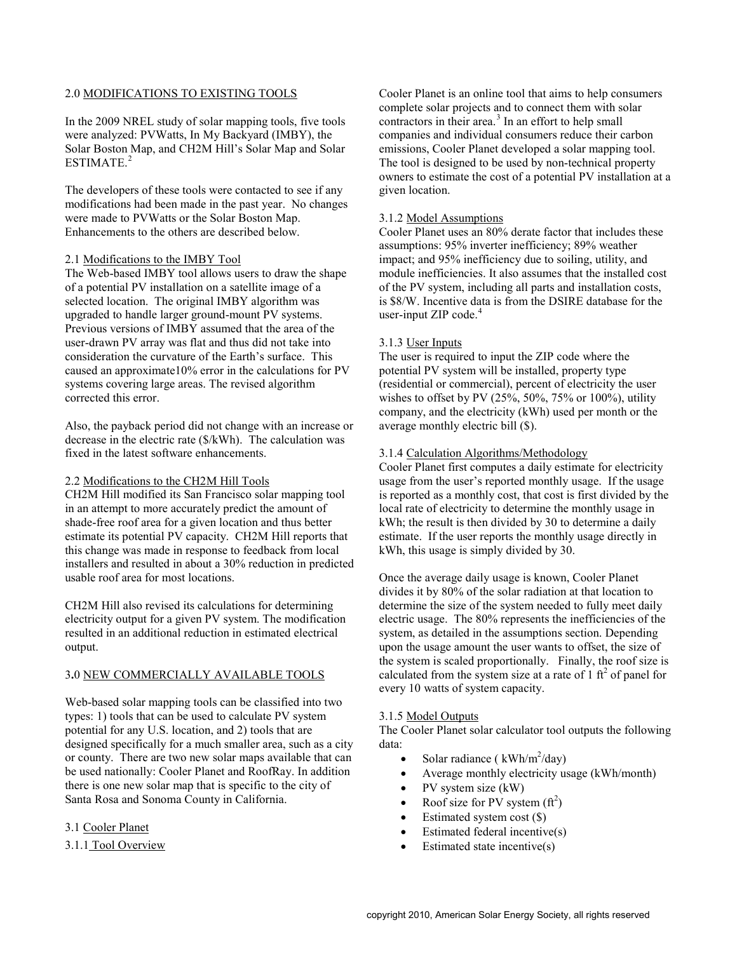### 2.0 MODIFICATIONS TO EXISTING TOOLS

In the 2009 NREL study of solar mapping tools, five tools were analyzed: PVWatts, In My Backyard (IMBY), the Solar Boston Map, and CH2M Hill's Solar Map and Solar ESTIMATE. [2](#page-7-1)

The developers of these tools were contacted to see if any modifications had been made in the past year. No changes were made to PVWatts or the Solar Boston Map. Enhancements to the others are described below.

#### 2.1 Modifications to the IMBY Tool

The Web-based IMBY tool allows users to draw the shape of a potential PV installation on a satellite image of a selected location. The original IMBY algorithm was upgraded to handle larger ground-mount PV systems. Previous versions of IMBY assumed that the area of the user-drawn PV array was flat and thus did not take into consideration the curvature of the Earth's surface. This caused an approximate10% error in the calculations for PV systems covering large areas. The revised algorithm corrected this error.

Also, the payback period did not change with an increase or decrease in the electric rate (\$/kWh). The calculation was fixed in the latest software enhancements.

### 2.2 Modifications to the CH2M Hill Tools

CH2M Hill modified its San Francisco solar mapping tool in an attempt to more accurately predict the amount of shade-free roof area for a given location and thus better estimate its potential PV capacity. CH2M Hill reports that this change was made in response to feedback from local installers and resulted in about a 30% reduction in predicted usable roof area for most locations.

CH2M Hill also revised its calculations for determining electricity output for a given PV system. The modification resulted in an additional reduction in estimated electrical output.

# 3**.**0 NEW COMMERCIALLY AVAILABLE TOOLS

Web-based solar mapping tools can be classified into two types: 1) tools that can be used to calculate PV system potential for any U.S. location, and 2) tools that are designed specifically for a much smaller area, such as a city or county. There are two new solar maps available that can be used nationally: Cooler Planet and RoofRay. In addition there is one new solar map that is specific to the city of Santa Rosa and Sonoma County in California.

#### 3.1 Cooler Planet

#### 3.1.1 Tool Overview

Cooler Planet is an online tool that aims to help consumers complete solar projects and to connect them with solar contractors in their area. [3](#page-7-2) In an effort to help small companies and individual consumers reduce their carbon emissions, Cooler Planet developed a solar mapping tool. The tool is designed to be used by non-technical property owners to estimate the cost of a potential PV installation at a given location.

### 3.1.2 Model Assumptions

Cooler Planet uses an 80% derate factor that includes these assumptions: 95% inverter inefficiency; 89% weather impact; and 95% inefficiency due to soiling, utility, and module inefficiencies. It also assumes that the installed cost of the PV system, including all parts and installation costs, is \$8/W. Incentive data is from the DSIRE database for the user-input ZIP code.<sup>[4](#page-7-3)</sup>

### 3.1.3 User Inputs

The user is required to input the ZIP code where the potential PV system will be installed, property type (residential or commercial), percent of electricity the user wishes to offset by PV (25%, 50%, 75% or 100%), utility company, and the electricity (kWh) used per month or the average monthly electric bill (\$).

### 3.1.4 Calculation Algorithms/Methodology

Cooler Planet first computes a daily estimate for electricity usage from the user's reported monthly usage. If the usage is reported as a monthly cost, that cost is first divided by the local rate of electricity to determine the monthly usage in kWh; the result is then divided by 30 to determine a daily estimate. If the user reports the monthly usage directly in kWh, this usage is simply divided by 30.

Once the average daily usage is known, Cooler Planet divides it by 80% of the solar radiation at that location to determine the size of the system needed to fully meet daily electric usage. The 80% represents the inefficiencies of the system, as detailed in the assumptions section. Depending upon the usage amount the user wants to offset, the size of the system is scaled proportionally. Finally, the roof size is calculated from the system size at a rate of  $1 \text{ ft}^2$  of panel for every 10 watts of system capacity.

#### 3.1.5 Model Outputs

The Cooler Planet solar calculator tool outputs the following data:

- Solar radiance ( $kWh/m^2/day$ )
- Average monthly electricity usage (kWh/month)
- PV system size (kW)
- Roof size for PV system  $(\text{ft}^2)$
- Estimated system cost  $(\$)$
- Estimated federal incentive(s)
- Estimated state incentive(s)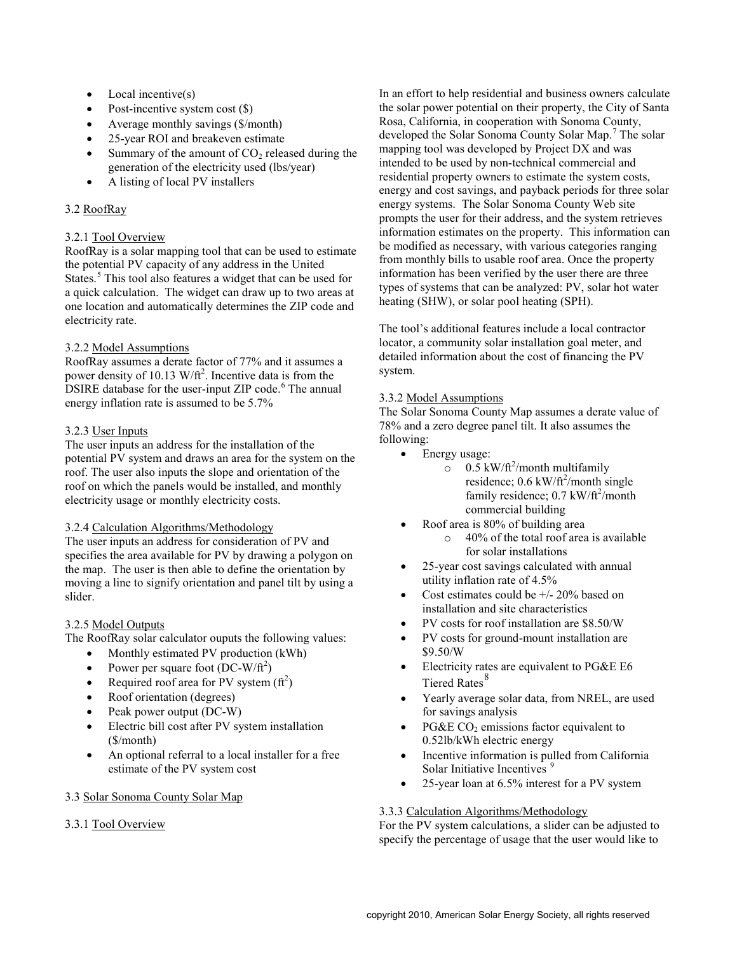- $Local$  incentive $(s)$
- Post-incentive system cost  $(\$)$
- Average monthly savings (\$/month)
- 25-year ROI and breakeven estimate
- Summary of the amount of  $CO<sub>2</sub>$  released during the generation of the electricity used (lbs/year)
- A listing of local PV installers

# 3.2 RoofRay

# 3.2.1 Tool Overview

RoofRay is a solar mapping tool that can be used to estimate the potential PV capacity of any address in the United States. [5](#page-7-4) This tool also features a widget that can be used for a quick calculation. The widget can draw up to two areas at one location and automatically determines the ZIP code and electricity rate.

# 3.2.2 Model Assumptions

RoofRay assumes a derate factor of 77% and it assumes a power density of 10.13  $W/\text{ft}^2$ . Incentive data is from the DSIRE database for the user-input ZIP code.<sup>[6](#page-7-5)</sup> The annual energy inflation rate is assumed to be 5.7%

# 3.2.3 User Inputs

The user inputs an address for the installation of the potential PV system and draws an area for the system on the roof. The user also inputs the slope and orientation of the roof on which the panels would be installed, and monthly electricity usage or monthly electricity costs.

# 3.2.4 Calculation Algorithms/Methodology

The user inputs an address for consideration of PV and specifies the area available for PV by drawing a polygon on the map. The user is then able to define the orientation by moving a line to signify orientation and panel tilt by using a slider.

# 3.2.5 Model Outputs

The RoofRay solar calculator ouputs the following values:

- Monthly estimated PV production (kWh)
- Power per square foot  $(DC-W/ft^2)$
- Required roof area for PV system  $(\text{ft}^2)$
- Roof orientation (degrees)
- Peak power output (DC-W)
- Electric bill cost after PV system installation (\$/month)
- An optional referral to a local installer for a free estimate of the PV system cost

# 3.3 Solar Sonoma County Solar Map

# 3.3.1 Tool Overview

In an effort to help residential and business owners calculate the solar power potential on their property, the City of Santa Rosa, California, in cooperation with Sonoma County, developed the Solar Sonoma County Solar Map. [7](#page-7-6) The solar mapping tool was developed by Project DX and was intended to be used by non-technical commercial and residential property owners to estimate the system costs, energy and cost savings, and payback periods for three solar energy systems. The Solar Sonoma County Web site prompts the user for their address, and the system retrieves information estimates on the property. This information can be modified as necessary, with various categories ranging from monthly bills to usable roof area. Once the property information has been verified by the user there are three types of systems that can be analyzed: PV, solar hot water heating (SHW), or solar pool heating (SPH).

The tool's additional features include a local contractor locator, a community solar installation goal meter, and detailed information about the cost of financing the PV system.

# 3.3.2 Model Assumptions

The Solar Sonoma County Map assumes a derate value of 78% and a zero degree panel tilt. It also assumes the following:

- Energy usage:
	- $\frac{1}{\infty}$  0.5 kW/ft<sup>2</sup>/month multifamily residence;  $0.6 \text{ kW/ft}^2/\text{month}$  single family residence;  $0.7 \text{ kW/ft}^2/\text{month}$ commercial building
- Roof area is 80% of building area
	- o 40% of the total roof area is available for solar installations
- 25-year cost savings calculated with annual utility inflation rate of 4.5%
- Cost estimates could be  $+/- 20\%$  based on installation and site characteristics
- PV costs for roof installation are \$8.50/W
- PV costs for ground-mount installation are \$9.50/W
- Electricity rates are equivalent to PG&E E6 Tiered Rates<sup>[8](#page-7-0)</sup>
- Yearly average solar data, from NREL, are used for savings analysis
- PG&E  $CO<sub>2</sub>$  emissions factor equivalent to 0.52lb/kWh electric energy
- Incentive information is pulled from California Solar Initiative Incentives<sup>[9](#page-7-7)</sup>
- 25-year loan at 6.5% interest for a PV system

# 3.3.3 Calculation Algorithms/Methodology

For the PV system calculations, a slider can be adjusted to specify the percentage of usage that the user would like to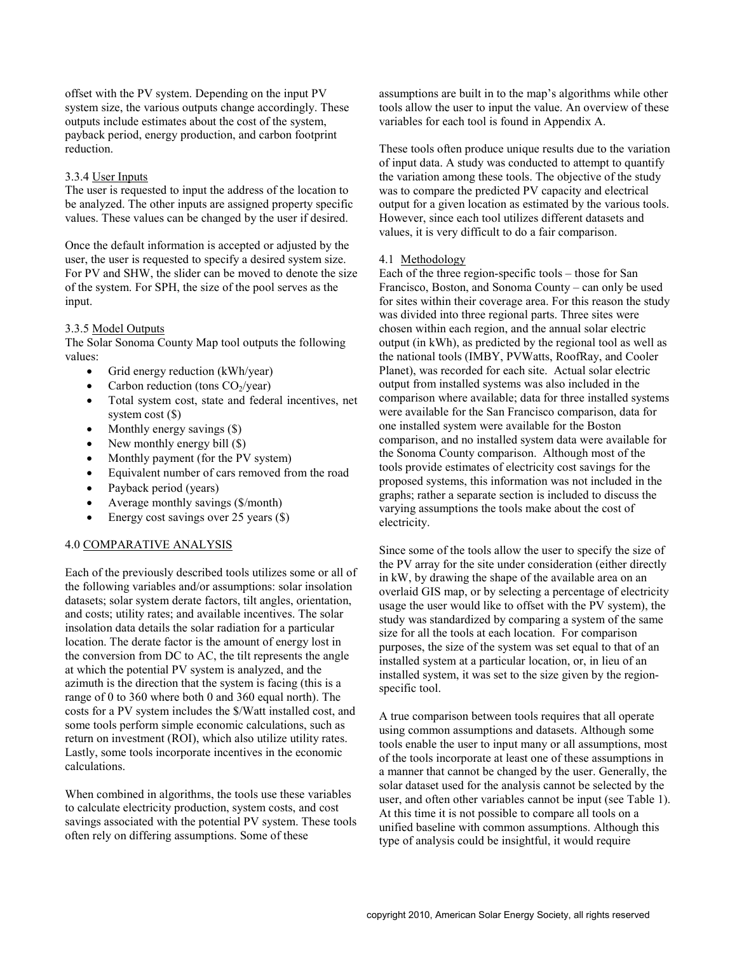offset with the PV system. Depending on the input PV system size, the various outputs change accordingly. These outputs include estimates about the cost of the system, payback period, energy production, and carbon footprint reduction.

#### 3.3.4 User Inputs

The user is requested to input the address of the location to be analyzed. The other inputs are assigned property specific values. These values can be changed by the user if desired.

Once the default information is accepted or adjusted by the user, the user is requested to specify a desired system size. For PV and SHW, the slider can be moved to denote the size of the system. For SPH, the size of the pool serves as the input.

#### 3.3.5 Model Outputs

The Solar Sonoma County Map tool outputs the following values:

- Grid energy reduction (kWh/year)
- Carbon reduction (tons  $CO<sub>2</sub>/year$ )
- Total system cost, state and federal incentives, net system cost (\$)
- Monthly energy savings  $(\$)$
- New monthly energy bill  $(\$)$
- Monthly payment (for the PV system)
- Equivalent number of cars removed from the road
- Payback period (years)
- Average monthly savings (\$/month)
- Energy cost savings over 25 years (\$)

# 4.0 COMPARATIVE ANALYSIS

Each of the previously described tools utilizes some or all of the following variables and/or assumptions: solar insolation datasets; solar system derate factors, tilt angles, orientation, and costs; utility rates; and available incentives. The solar insolation data details the solar radiation for a particular location. The derate factor is the amount of energy lost in the conversion from DC to AC, the tilt represents the angle at which the potential PV system is analyzed, and the azimuth is the direction that the system is facing (this is a range of 0 to 360 where both 0 and 360 equal north). The costs for a PV system includes the \$/Watt installed cost, and some tools perform simple economic calculations, such as return on investment (ROI), which also utilize utility rates. Lastly, some tools incorporate incentives in the economic calculations.

When combined in algorithms, the tools use these variables to calculate electricity production, system costs, and cost savings associated with the potential PV system. These tools often rely on differing assumptions. Some of these

assumptions are built in to the map's algorithms while other tools allow the user to input the value. An overview of these variables for each tool is found in Appendix A.

These tools often produce unique results due to the variation of input data. A study was conducted to attempt to quantify the variation among these tools. The objective of the study was to compare the predicted PV capacity and electrical output for a given location as estimated by the various tools. However, since each tool utilizes different datasets and values, it is very difficult to do a fair comparison.

#### 4.1 Methodology

Each of the three region-specific tools – those for San Francisco, Boston, and Sonoma County – can only be used for sites within their coverage area. For this reason the study was divided into three regional parts. Three sites were chosen within each region, and the annual solar electric output (in kWh), as predicted by the regional tool as well as the national tools (IMBY, PVWatts, RoofRay, and Cooler Planet), was recorded for each site. Actual solar electric output from installed systems was also included in the comparison where available; data for three installed systems were available for the San Francisco comparison, data for one installed system were available for the Boston comparison, and no installed system data were available for the Sonoma County comparison. Although most of the tools provide estimates of electricity cost savings for the proposed systems, this information was not included in the graphs; rather a separate section is included to discuss the varying assumptions the tools make about the cost of electricity.

Since some of the tools allow the user to specify the size of the PV array for the site under consideration (either directly in kW, by drawing the shape of the available area on an overlaid GIS map, or by selecting a percentage of electricity usage the user would like to offset with the PV system), the study was standardized by comparing a system of the same size for all the tools at each location. For comparison purposes, the size of the system was set equal to that of an installed system at a particular location, or, in lieu of an installed system, it was set to the size given by the regionspecific tool.

A true comparison between tools requires that all operate using common assumptions and datasets. Although some tools enable the user to input many or all assumptions, most of the tools incorporate at least one of these assumptions in a manner that cannot be changed by the user. Generally, the solar dataset used for the analysis cannot be selected by the user, and often other variables cannot be input (see Table 1). At this time it is not possible to compare all tools on a unified baseline with common assumptions. Although this type of analysis could be insightful, it would require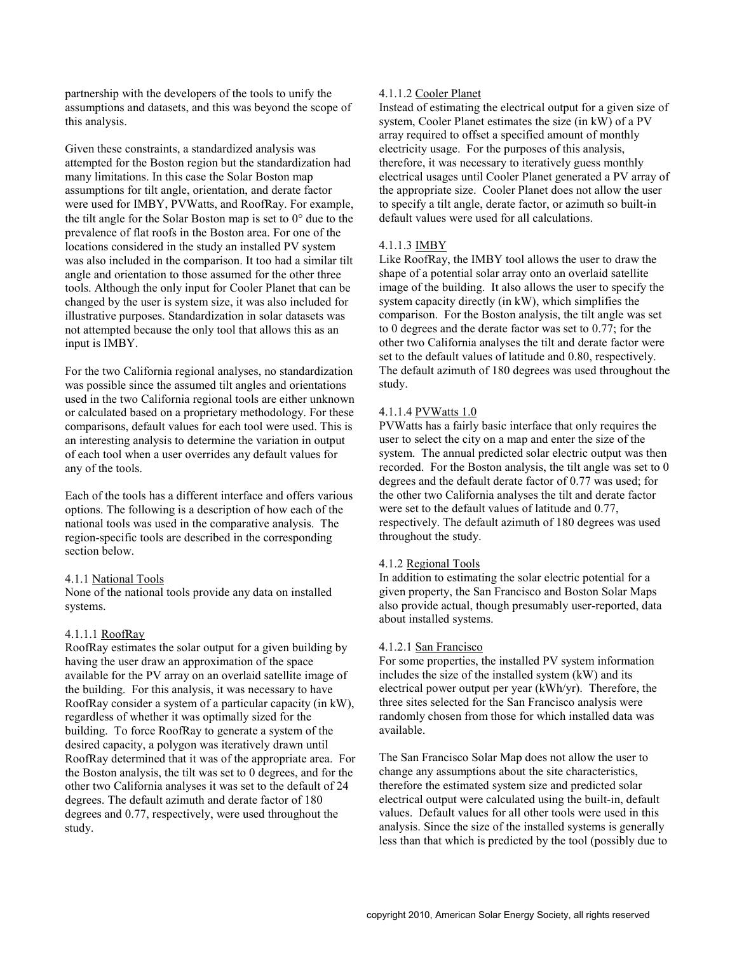partnership with the developers of the tools to unify the assumptions and datasets, and this was beyond the scope of this analysis.

Given these constraints, a standardized analysis was attempted for the Boston region but the standardization had many limitations. In this case the Solar Boston map assumptions for tilt angle, orientation, and derate factor were used for IMBY, PVWatts, and RoofRay. For example, the tilt angle for the Solar Boston map is set to 0° due to the prevalence of flat roofs in the Boston area. For one of the locations considered in the study an installed PV system was also included in the comparison. It too had a similar tilt angle and orientation to those assumed for the other three tools. Although the only input for Cooler Planet that can be changed by the user is system size, it was also included for illustrative purposes. Standardization in solar datasets was not attempted because the only tool that allows this as an input is IMBY.

For the two California regional analyses, no standardization was possible since the assumed tilt angles and orientations used in the two California regional tools are either unknown or calculated based on a proprietary methodology. For these comparisons, default values for each tool were used. This is an interesting analysis to determine the variation in output of each tool when a user overrides any default values for any of the tools.

Each of the tools has a different interface and offers various options. The following is a description of how each of the national tools was used in the comparative analysis. The region-specific tools are described in the corresponding section below.

#### 4.1.1 National Tools

None of the national tools provide any data on installed systems.

# 4.1.1.1 RoofRay

RoofRay estimates the solar output for a given building by having the user draw an approximation of the space available for the PV array on an overlaid satellite image of the building. For this analysis, it was necessary to have RoofRay consider a system of a particular capacity (in kW), regardless of whether it was optimally sized for the building. To force RoofRay to generate a system of the desired capacity, a polygon was iteratively drawn until RoofRay determined that it was of the appropriate area. For the Boston analysis, the tilt was set to 0 degrees, and for the other two California analyses it was set to the default of 24 degrees. The default azimuth and derate factor of 180 degrees and 0.77, respectively, were used throughout the study.

## 4.1.1.2 Cooler Planet

Instead of estimating the electrical output for a given size of system, Cooler Planet estimates the size (in kW) of a PV array required to offset a specified amount of monthly electricity usage. For the purposes of this analysis, therefore, it was necessary to iteratively guess monthly electrical usages until Cooler Planet generated a PV array of the appropriate size. Cooler Planet does not allow the user to specify a tilt angle, derate factor, or azimuth so built-in default values were used for all calculations.

### 4.1.1.3 IMBY

Like RoofRay, the IMBY tool allows the user to draw the shape of a potential solar array onto an overlaid satellite image of the building. It also allows the user to specify the system capacity directly (in kW), which simplifies the comparison. For the Boston analysis, the tilt angle was set to 0 degrees and the derate factor was set to 0.77; for the other two California analyses the tilt and derate factor were set to the default values of latitude and 0.80, respectively. The default azimuth of 180 degrees was used throughout the study.

### 4.1.1.4 PVWatts 1.0

PVWatts has a fairly basic interface that only requires the user to select the city on a map and enter the size of the system. The annual predicted solar electric output was then recorded. For the Boston analysis, the tilt angle was set to 0 degrees and the default derate factor of 0.77 was used; for the other two California analyses the tilt and derate factor were set to the default values of latitude and 0.77, respectively. The default azimuth of 180 degrees was used throughout the study.

#### 4.1.2 Regional Tools

In addition to estimating the solar electric potential for a given property, the San Francisco and Boston Solar Maps also provide actual, though presumably user-reported, data about installed systems.

#### 4.1.2.1 San Francisco

For some properties, the installed PV system information includes the size of the installed system (kW) and its electrical power output per year (kWh/yr). Therefore, the three sites selected for the San Francisco analysis were randomly chosen from those for which installed data was available.

The San Francisco Solar Map does not allow the user to change any assumptions about the site characteristics, therefore the estimated system size and predicted solar electrical output were calculated using the built-in, default values. Default values for all other tools were used in this analysis. Since the size of the installed systems is generally less than that which is predicted by the tool (possibly due to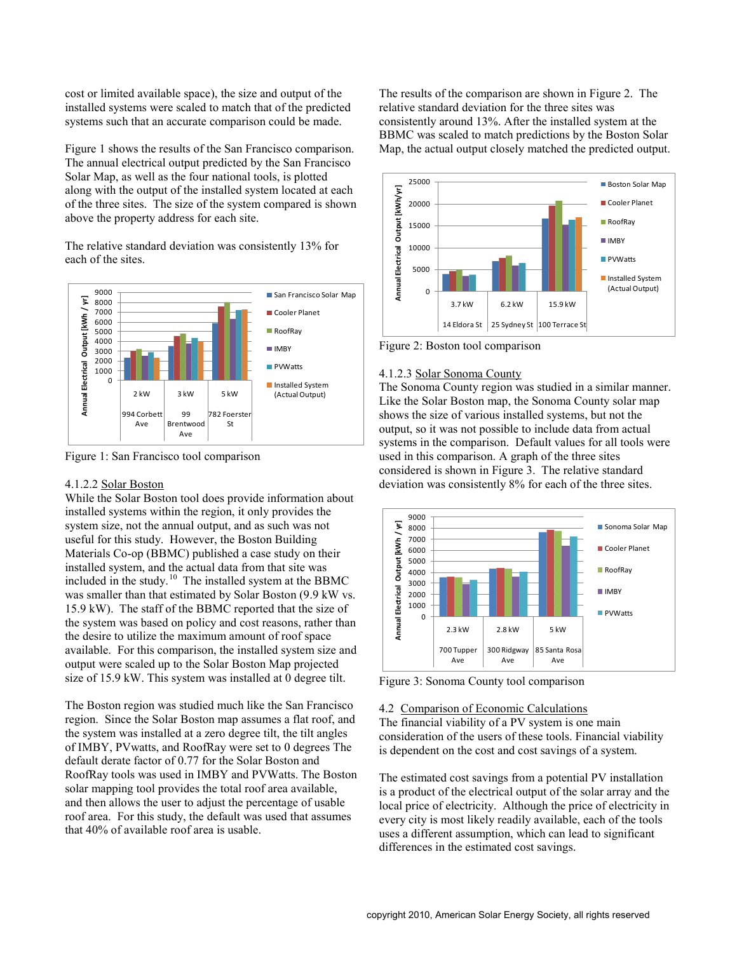cost or limited available space), the size and output of the installed systems were scaled to match that of the predicted systems such that an accurate comparison could be made.

Figure 1 shows the results of the San Francisco comparison. The annual electrical output predicted by the San Francisco Solar Map, as well as the four national tools, is plotted along with the output of the installed system located at each of the three sites. The size of the system compared is shown above the property address for each site.

The relative standard deviation was consistently 13% for each of the sites.



Figure 1: San Francisco tool comparison

#### 4.1.2.2 Solar Boston

While the Solar Boston tool does provide information about installed systems within the region, it only provides the system size, not the annual output, and as such was not useful for this study. However, the Boston Building Materials Co-op (BBMC) published a case study on their installed system, and the actual data from that site was included in the study. $^{10}$  $^{10}$  $^{10}$  The installed system at the BBMC was smaller than that estimated by Solar Boston (9.9 kW vs. 15.9 kW). The staff of the BBMC reported that the size of the system was based on policy and cost reasons, rather than the desire to utilize the maximum amount of roof space available. For this comparison, the installed system size and output were scaled up to the Solar Boston Map projected size of 15.9 kW. This system was installed at 0 degree tilt.

The Boston region was studied much like the San Francisco region. Since the Solar Boston map assumes a flat roof, and the system was installed at a zero degree tilt, the tilt angles of IMBY, PVwatts, and RoofRay were set to 0 degrees The default derate factor of 0.77 for the Solar Boston and RoofRay tools was used in IMBY and PVWatts. The Boston solar mapping tool provides the total roof area available, and then allows the user to adjust the percentage of usable roof area. For this study, the default was used that assumes that 40% of available roof area is usable.

The results of the comparison are shown in Figure 2. The relative standard deviation for the three sites was consistently around 13%. After the installed system at the BBMC was scaled to match predictions by the Boston Solar Map, the actual output closely matched the predicted output.



Figure 2: Boston tool comparison

### 4.1.2.3 Solar Sonoma County

The Sonoma County region was studied in a similar manner. Like the Solar Boston map, the Sonoma County solar map shows the size of various installed systems, but not the output, so it was not possible to include data from actual systems in the comparison. Default values for all tools were used in this comparison. A graph of the three sites considered is shown in Figure 3. The relative standard deviation was consistently 8% for each of the three sites.



Figure 3: Sonoma County tool comparison

### 4.2 Comparison of Economic Calculations

The financial viability of a PV system is one main consideration of the users of these tools. Financial viability is dependent on the cost and cost savings of a system.

The estimated cost savings from a potential PV installation is a product of the electrical output of the solar array and the local price of electricity. Although the price of electricity in every city is most likely readily available, each of the tools uses a different assumption, which can lead to significant differences in the estimated cost savings.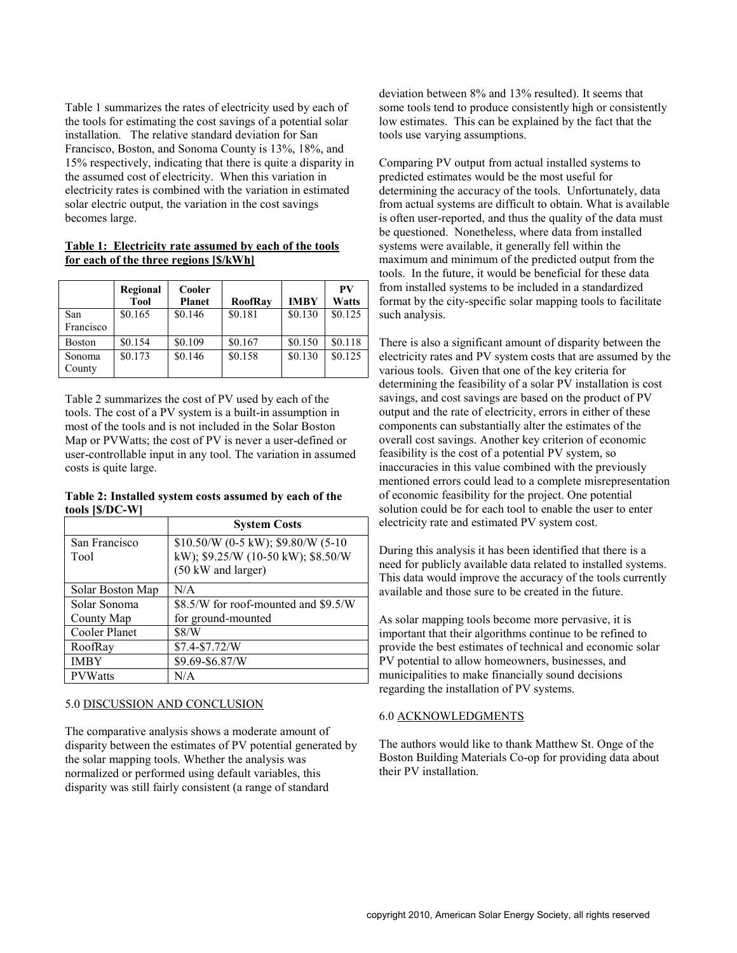Table 1 summarizes the rates of electricity used by each of the tools for estimating the cost savings of a potential solar installation. The relative standard deviation for San Francisco, Boston, and Sonoma County is 13%, 18%, and 15% respectively, indicating that there is quite a disparity in the assumed cost of electricity. When this variation in electricity rates is combined with the variation in estimated solar electric output, the variation in the cost savings becomes large.

### **Table 1: Electricity rate assumed by each of the tools for each of the three regions [\$/kWh]**

|                  | Regional<br><b>Tool</b> | Cooler<br><b>Planet</b> | <b>RoofRav</b> | <b>IMBY</b> | <b>PV</b><br>Watts |
|------------------|-------------------------|-------------------------|----------------|-------------|--------------------|
| San<br>Francisco | \$0.165                 | \$0.146                 | \$0.181        | \$0.130     | \$0.125            |
| <b>Boston</b>    | \$0.154                 | \$0.109                 | \$0.167        | \$0.150     | \$0.118            |
| Sonoma<br>County | \$0.173                 | \$0.146                 | \$0.158        | \$0.130     | \$0.125            |

Table 2 summarizes the cost of PV used by each of the tools. The cost of a PV system is a built-in assumption in most of the tools and is not included in the Solar Boston Map or PVWatts; the cost of PV is never a user-defined or user-controllable input in any tool. The variation in assumed costs is quite large.

### **Table 2: Installed system costs assumed by each of the tools [\$/DC-W]**

|                       | <b>System Costs</b>                                                                             |  |  |
|-----------------------|-------------------------------------------------------------------------------------------------|--|--|
| San Francisco<br>Tool | \$10.50/W (0-5 kW); \$9.80/W (5-10)<br>kW); \$9.25/W (10-50 kW); \$8.50/W<br>(50 kW and larger) |  |  |
| Solar Boston Map      | N/A                                                                                             |  |  |
| Solar Sonoma          | \$8.5/W for roof-mounted and \$9.5/W                                                            |  |  |
| County Map            | for ground-mounted                                                                              |  |  |
| Cooler Planet         | \$8/W                                                                                           |  |  |
| RoofRay               | $$7.4-S7.72/W$                                                                                  |  |  |
| <b>IMBY</b>           | \$9.69-\$6.87/W                                                                                 |  |  |
| <b>PVWatts</b>        | N/A                                                                                             |  |  |

# 5.0 DISCUSSION AND CONCLUSION

The comparative analysis shows a moderate amount of disparity between the estimates of PV potential generated by the solar mapping tools. Whether the analysis was normalized or performed using default variables, this disparity was still fairly consistent (a range of standard

deviation between 8% and 13% resulted). It seems that some tools tend to produce consistently high or consistently low estimates. This can be explained by the fact that the tools use varying assumptions.

Comparing PV output from actual installed systems to predicted estimates would be the most useful for determining the accuracy of the tools. Unfortunately, data from actual systems are difficult to obtain. What is available is often user-reported, and thus the quality of the data must be questioned. Nonetheless, where data from installed systems were available, it generally fell within the maximum and minimum of the predicted output from the tools. In the future, it would be beneficial for these data from installed systems to be included in a standardized format by the city-specific solar mapping tools to facilitate such analysis.

There is also a significant amount of disparity between the electricity rates and PV system costs that are assumed by the various tools. Given that one of the key criteria for determining the feasibility of a solar PV installation is cost savings, and cost savings are based on the product of PV output and the rate of electricity, errors in either of these components can substantially alter the estimates of the overall cost savings. Another key criterion of economic feasibility is the cost of a potential PV system, so inaccuracies in this value combined with the previously mentioned errors could lead to a complete misrepresentation of economic feasibility for the project. One potential solution could be for each tool to enable the user to enter electricity rate and estimated PV system cost.

During this analysis it has been identified that there is a need for publicly available data related to installed systems. This data would improve the accuracy of the tools currently available and those sure to be created in the future.

As solar mapping tools become more pervasive, it is important that their algorithms continue to be refined to provide the best estimates of technical and economic solar PV potential to allow homeowners, businesses, and municipalities to make financially sound decisions regarding the installation of PV systems.

#### 6.0 ACKNOWLEDGMENTS

The authors would like to thank Matthew St. Onge of the Boston Building Materials Co-op for providing data about their PV installation.